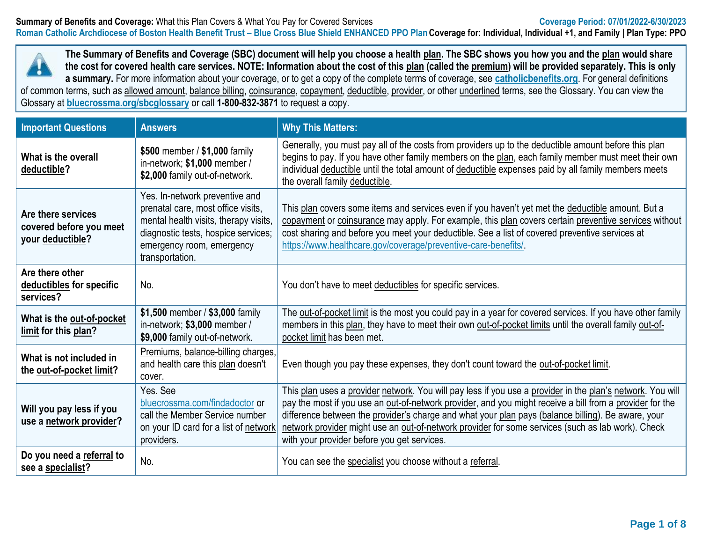

**The Summary of Benefits and Coverage (SBC) document will help you choose a health plan. The SBC shows you how you and the plan would share the cost for covered health care services. NOTE: Information about the cost of this plan (called the premium) will be provided separately. This is only a summary.** For more information about your coverage, or to get a copy of the complete terms of coverage, see **[catholicbenefits.org](http://catholicbenefits.org/)**. For general definitions of common terms, such as allowed amount, balance billing, coinsurance, copayment, deductible, provider, or other underlined terms, see the Glossary. You can view the

Glossary at **[bluecrossma.org/sbcglossary](https://home.bluecrossma.com/collateral/sites/g/files/csphws1571/files/acquiadam-assets/55-0382_SBC_Glossary_Medical_Terms.pdf)** or call **1-800-832-3871** to request a copy.

| <b>Important Questions</b>                                        | <b>Answers</b>                                                                                                                                                                                       | <b>Why This Matters:</b>                                                                                                                                                                                                                                                                                                                                                                                                                                                         |
|-------------------------------------------------------------------|------------------------------------------------------------------------------------------------------------------------------------------------------------------------------------------------------|----------------------------------------------------------------------------------------------------------------------------------------------------------------------------------------------------------------------------------------------------------------------------------------------------------------------------------------------------------------------------------------------------------------------------------------------------------------------------------|
| What is the overall<br>deductible?                                | \$500 member / \$1,000 family<br>in-network; \$1,000 member /<br>\$2,000 family out-of-network.                                                                                                      | Generally, you must pay all of the costs from providers up to the deductible amount before this plan<br>begins to pay. If you have other family members on the plan, each family member must meet their own<br>individual deductible until the total amount of deductible expenses paid by all family members meets<br>the overall family deductible.                                                                                                                            |
| Are there services<br>covered before you meet<br>your deductible? | Yes. In-network preventive and<br>prenatal care, most office visits,<br>mental health visits, therapy visits,<br>diagnostic tests, hospice services;<br>emergency room, emergency<br>transportation. | This plan covers some items and services even if you haven't yet met the deductible amount. But a<br>copayment or coinsurance may apply. For example, this plan covers certain preventive services without<br>cost sharing and before you meet your deductible. See a list of covered preventive services at<br>https://www.healthcare.gov/coverage/preventive-care-benefits/                                                                                                    |
| Are there other<br>deductibles for specific<br>services?          | No.                                                                                                                                                                                                  | You don't have to meet deductibles for specific services.                                                                                                                                                                                                                                                                                                                                                                                                                        |
| What is the out-of-pocket<br>limit for this plan?                 | \$1,500 member / \$3,000 family<br>in-network; \$3,000 member /<br>\$9,000 family out-of-network.                                                                                                    | The out-of-pocket limit is the most you could pay in a year for covered services. If you have other family<br>members in this plan, they have to meet their own out-of-pocket limits until the overall family out-of-<br>pocket limit has been met.                                                                                                                                                                                                                              |
| What is not included in<br>the out-of-pocket limit?               | Premiums, balance-billing charges,<br>and health care this plan doesn't<br>cover.                                                                                                                    | Even though you pay these expenses, they don't count toward the out-of-pocket limit.                                                                                                                                                                                                                                                                                                                                                                                             |
| Will you pay less if you<br>use a network provider?               | Yes. See<br>bluecrossma.com/findadoctor or<br>call the Member Service number<br>on your ID card for a list of network<br>providers.                                                                  | This plan uses a provider network. You will pay less if you use a provider in the plan's network. You will<br>pay the most if you use an out-of-network provider, and you might receive a bill from a provider for the<br>difference between the provider's charge and what your plan pays (balance billing). Be aware, your<br>network provider might use an out-of-network provider for some services (such as lab work). Check<br>with your provider before you get services. |
| Do you need a referral to<br>see a specialist?                    | No.                                                                                                                                                                                                  | You can see the specialist you choose without a referral.                                                                                                                                                                                                                                                                                                                                                                                                                        |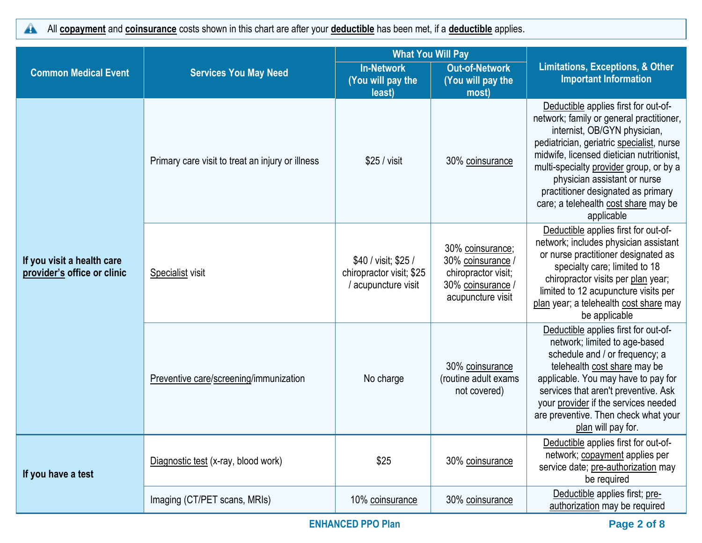All **copayment** and **coinsurance** costs shown in this chart are after your **deductible** has been met, if a **deductible** applies.  $\blacktriangle$ 

|                                                           |                                                                                           | <b>What You Will Pay</b>                                                |                                                                                                        |                                                                                                                                                                                                                                                                                                                                                                                   |  |
|-----------------------------------------------------------|-------------------------------------------------------------------------------------------|-------------------------------------------------------------------------|--------------------------------------------------------------------------------------------------------|-----------------------------------------------------------------------------------------------------------------------------------------------------------------------------------------------------------------------------------------------------------------------------------------------------------------------------------------------------------------------------------|--|
| <b>Common Medical Event</b>                               | <b>In-Network</b><br><b>Services You May Need</b><br>(You will pay the<br>least)<br>most) |                                                                         | <b>Out-of-Network</b><br>(You will pay the                                                             | <b>Limitations, Exceptions, &amp; Other</b><br><b>Important Information</b>                                                                                                                                                                                                                                                                                                       |  |
|                                                           | Primary care visit to treat an injury or illness                                          | \$25 / <i>visit</i>                                                     | 30% coinsurance                                                                                        | Deductible applies first for out-of-<br>network; family or general practitioner,<br>internist, OB/GYN physician,<br>pediatrician, geriatric specialist, nurse<br>midwife, licensed dietician nutritionist,<br>multi-specialty provider group, or by a<br>physician assistant or nurse<br>practitioner designated as primary<br>care; a telehealth cost share may be<br>applicable |  |
| If you visit a health care<br>provider's office or clinic | Specialist visit                                                                          | \$40 / visit; \$25 /<br>chiropractor visit; \$25<br>/ acupuncture visit | 30% coinsurance;<br>30% coinsurance /<br>chiropractor visit;<br>30% coinsurance /<br>acupuncture visit | Deductible applies first for out-of-<br>network; includes physician assistant<br>or nurse practitioner designated as<br>specialty care; limited to 18<br>chiropractor visits per plan year;<br>limited to 12 acupuncture visits per<br>plan year; a telehealth cost share may<br>be applicable                                                                                    |  |
|                                                           | Preventive care/screening/immunization                                                    | No charge                                                               | 30% coinsurance<br>(routine adult exams<br>not covered)                                                | Deductible applies first for out-of-<br>network; limited to age-based<br>schedule and / or frequency; a<br>telehealth cost share may be<br>applicable. You may have to pay for<br>services that aren't preventive. Ask<br>your provider if the services needed<br>are preventive. Then check what your<br>plan will pay for.                                                      |  |
| If you have a test                                        | Diagnostic test (x-ray, blood work)                                                       | \$25                                                                    | 30% coinsurance                                                                                        | Deductible applies first for out-of-<br>network; copayment applies per<br>service date; pre-authorization may<br>be required                                                                                                                                                                                                                                                      |  |
|                                                           | Imaging (CT/PET scans, MRIs)                                                              | 10% coinsurance                                                         | 30% coinsurance                                                                                        | Deductible applies first; pre-<br>authorization may be required                                                                                                                                                                                                                                                                                                                   |  |

**Page 2 of 8 PPO Plan Page 2 of 8**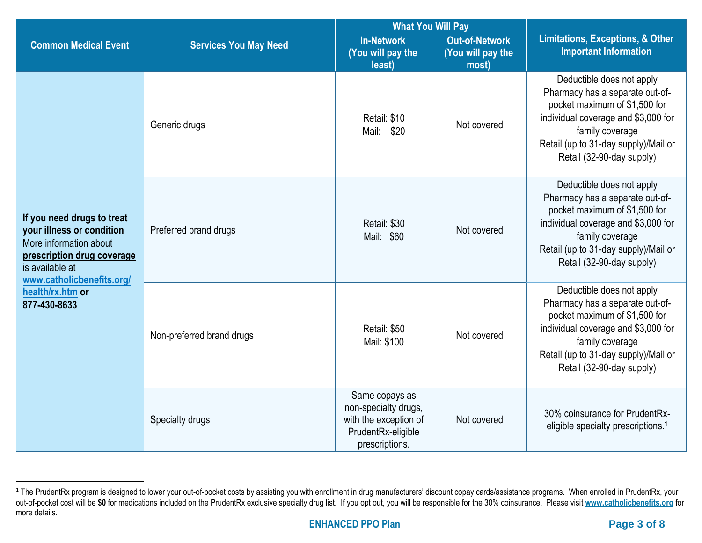|                                                                                                                                                                 |                              | <b>What You Will Pay</b>                                                                                |                                                     |                                                                                                                                                                                                                              |  |
|-----------------------------------------------------------------------------------------------------------------------------------------------------------------|------------------------------|---------------------------------------------------------------------------------------------------------|-----------------------------------------------------|------------------------------------------------------------------------------------------------------------------------------------------------------------------------------------------------------------------------------|--|
| <b>Common Medical Event</b>                                                                                                                                     | <b>Services You May Need</b> | <b>In-Network</b><br>(You will pay the<br>least)                                                        | <b>Out-of-Network</b><br>(You will pay the<br>most) | <b>Limitations, Exceptions, &amp; Other</b><br><b>Important Information</b>                                                                                                                                                  |  |
|                                                                                                                                                                 | Generic drugs                | Retail: \$10<br>Mail: \$20                                                                              | Not covered                                         | Deductible does not apply<br>Pharmacy has a separate out-of-<br>pocket maximum of \$1,500 for<br>individual coverage and \$3,000 for<br>family coverage<br>Retail (up to 31-day supply)/Mail or<br>Retail (32-90-day supply) |  |
| If you need drugs to treat<br>your illness or condition<br>More information about<br>prescription drug coverage<br>is available at<br>www.catholicbenefits.org/ | Preferred brand drugs        | Retail: \$30<br>Mail: \$60                                                                              | Not covered                                         | Deductible does not apply<br>Pharmacy has a separate out-of-<br>pocket maximum of \$1,500 for<br>individual coverage and \$3,000 for<br>family coverage<br>Retail (up to 31-day supply)/Mail or<br>Retail (32-90-day supply) |  |
| health/rx.htm or<br>877-430-8633                                                                                                                                | Non-preferred brand drugs    | Retail: \$50<br>Mail: \$100                                                                             | Not covered                                         | Deductible does not apply<br>Pharmacy has a separate out-of-<br>pocket maximum of \$1,500 for<br>individual coverage and \$3,000 for<br>family coverage<br>Retail (up to 31-day supply)/Mail or<br>Retail (32-90-day supply) |  |
|                                                                                                                                                                 | <b>Specialty drugs</b>       | Same copays as<br>non-specialty drugs,<br>with the exception of<br>PrudentRx-eligible<br>prescriptions. | Not covered                                         | 30% coinsurance for PrudentRx-<br>eligible specialty prescriptions. <sup>1</sup>                                                                                                                                             |  |

<sup>&</sup>lt;sup>1</sup> The PrudentRx program is designed to lower your out-of-pocket costs by assisting you with enrollment in drug manufacturers' discount copay cards/assistance programs. When enrolled in PrudentRx, your out-of-pocket cost will be **\$0** for medications included on the PrudentRx exclusive specialty drug list. If you opt out, you will be responsible for the 30% coinsurance. Please visit **[www.catholicbenefits.org](http://www.catholicbenefits.org/)** for more details.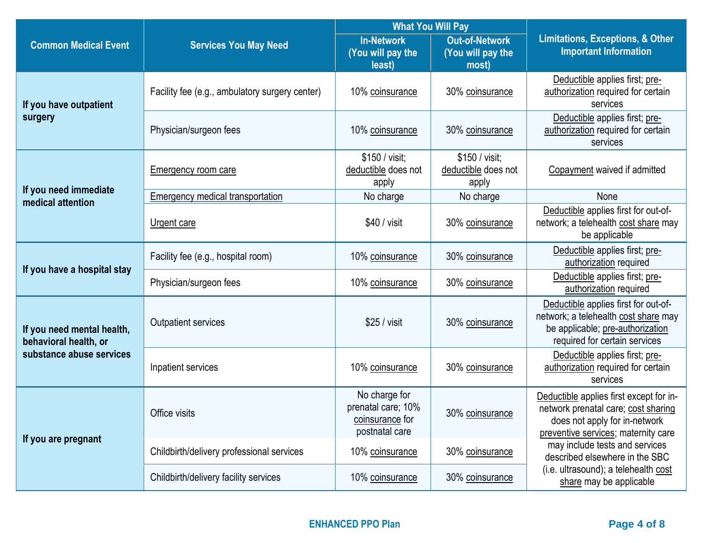|                                                     |                                                            | <b>What You Will Pay</b>                                                 |                                                                                  |                                                                                                                                                        |  |
|-----------------------------------------------------|------------------------------------------------------------|--------------------------------------------------------------------------|----------------------------------------------------------------------------------|--------------------------------------------------------------------------------------------------------------------------------------------------------|--|
| <b>Common Medical Event</b>                         | <b>Services You May Need</b>                               | <b>In-Network</b><br>(You will pay the                                   | <b>Out-of-Network</b>                                                            | <b>Limitations, Exceptions, &amp; Other</b><br><b>Important Information</b>                                                                            |  |
|                                                     |                                                            |                                                                          | (You will pay the<br>most)                                                       |                                                                                                                                                        |  |
| If you have outpatient                              | Facility fee (e.g., ambulatory surgery center)             | least)<br>10% coinsurance                                                | 30% coinsurance                                                                  | Deductible applies first; pre-<br>authorization required for certain<br>services                                                                       |  |
| surgery                                             | Physician/surgeon fees                                     | 10% coinsurance<br>30% coinsurance<br>\$150 / visit;<br>\$150 / visit;   | Deductible applies first; pre-<br>authorization required for certain<br>services |                                                                                                                                                        |  |
|                                                     | deductible does not<br><b>Emergency room care</b><br>apply |                                                                          | deductible does not<br>apply                                                     | Copayment waived if admitted                                                                                                                           |  |
| If you need immediate<br>medical attention          | Emergency medical transportation                           | No charge                                                                | No charge                                                                        | None                                                                                                                                                   |  |
|                                                     | Urgent care                                                | \$40 / visit                                                             | 30% coinsurance                                                                  | Deductible applies first for out-of-<br>network; a telehealth cost share may<br>be applicable                                                          |  |
|                                                     | Facility fee (e.g., hospital room)                         | 10% coinsurance                                                          | 30% coinsurance                                                                  | Deductible applies first; pre-<br>authorization required                                                                                               |  |
| If you have a hospital stay                         | Physician/surgeon fees                                     | 10% coinsurance                                                          | 30% coinsurance                                                                  | Deductible applies first; pre-<br>authorization required                                                                                               |  |
| If you need mental health,<br>behavioral health, or | <b>Outpatient services</b>                                 | \$25 / visit                                                             | 30% coinsurance                                                                  | Deductible applies first for out-of-<br>network; a telehealth cost share may<br>be applicable; pre-authorization<br>required for certain services      |  |
| substance abuse services                            | Inpatient services                                         | 10% coinsurance                                                          | 30% coinsurance                                                                  | Deductible applies first; pre-<br>authorization required for certain<br>services                                                                       |  |
| If you are pregnant                                 | Office visits                                              | No charge for<br>prenatal care; 10%<br>coinsurance for<br>postnatal care | 30% coinsurance                                                                  | Deductible applies first except for in-<br>network prenatal care; cost sharing<br>does not apply for in-network<br>preventive services; maternity care |  |
|                                                     | Childbirth/delivery professional services                  | 10% coinsurance                                                          | 30% coinsurance                                                                  | may include tests and services<br>described elsewhere in the SBC                                                                                       |  |
|                                                     | Childbirth/delivery facility services                      | 10% coinsurance                                                          | 30% coinsurance                                                                  | (i.e. ultrasound); a telehealth cost<br>share may be applicable                                                                                        |  |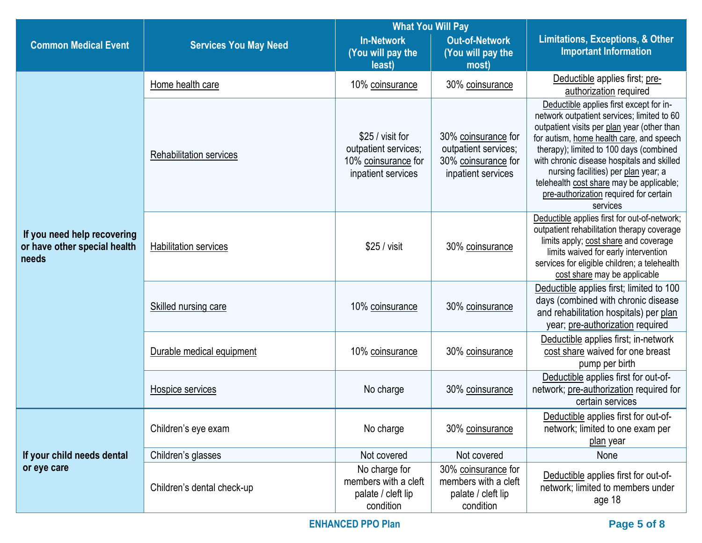|                                                                      |                                | <b>What You Will Pay</b>                                                              |                                                                                          |                                                                                                                                                                                                                                                                                                                                                                                                                     |
|----------------------------------------------------------------------|--------------------------------|---------------------------------------------------------------------------------------|------------------------------------------------------------------------------------------|---------------------------------------------------------------------------------------------------------------------------------------------------------------------------------------------------------------------------------------------------------------------------------------------------------------------------------------------------------------------------------------------------------------------|
| <b>Common Medical Event</b>                                          | <b>Services You May Need</b>   | <b>In-Network</b><br>(You will pay the<br>least)                                      | <b>Out-of-Network</b><br>(You will pay the<br>most)                                      | <b>Limitations, Exceptions, &amp; Other</b><br><b>Important Information</b>                                                                                                                                                                                                                                                                                                                                         |
|                                                                      | Home health care               | 10% coinsurance                                                                       | 30% coinsurance                                                                          | Deductible applies first; pre-<br>authorization required                                                                                                                                                                                                                                                                                                                                                            |
|                                                                      | <b>Rehabilitation services</b> | \$25 / visit for<br>outpatient services;<br>10% coinsurance for<br>inpatient services | 30% coinsurance for<br>outpatient services;<br>30% coinsurance for<br>inpatient services | Deductible applies first except for in-<br>network outpatient services; limited to 60<br>outpatient visits per plan year (other than<br>for autism, home health care, and speech<br>therapy); limited to 100 days (combined<br>with chronic disease hospitals and skilled<br>nursing facilities) per plan year; a<br>telehealth cost share may be applicable;<br>pre-authorization required for certain<br>services |
| If you need help recovering<br>or have other special health<br>needs | <b>Habilitation services</b>   | \$25 / visit                                                                          | 30% coinsurance                                                                          | Deductible applies first for out-of-network;<br>outpatient rehabilitation therapy coverage<br>limits apply; cost share and coverage<br>limits waived for early intervention<br>services for eligible children; a telehealth<br>cost share may be applicable                                                                                                                                                         |
|                                                                      | Skilled nursing care           | 10% coinsurance                                                                       | 30% coinsurance                                                                          | Deductible applies first; limited to 100<br>days (combined with chronic disease<br>and rehabilitation hospitals) per plan<br>year; pre-authorization required                                                                                                                                                                                                                                                       |
|                                                                      | Durable medical equipment      | 10% coinsurance                                                                       | 30% coinsurance                                                                          | Deductible applies first; in-network<br>cost share waived for one breast<br>pump per birth                                                                                                                                                                                                                                                                                                                          |
|                                                                      | Hospice services               | No charge<br>30% coinsurance                                                          |                                                                                          | Deductible applies first for out-of-<br>network; pre-authorization required for<br>certain services                                                                                                                                                                                                                                                                                                                 |
|                                                                      | Children's eye exam            | No charge                                                                             | 30% coinsurance                                                                          | Deductible applies first for out-of-<br>network; limited to one exam per<br>plan year                                                                                                                                                                                                                                                                                                                               |
| If your child needs dental                                           | Children's glasses             | Not covered                                                                           | Not covered                                                                              | None                                                                                                                                                                                                                                                                                                                                                                                                                |
| or eye care                                                          | Children's dental check-up     | No charge for<br>members with a cleft<br>palate / cleft lip<br>condition              | 30% coinsurance for<br>members with a cleft<br>palate / cleft lip<br>condition           | Deductible applies first for out-of-<br>network; limited to members under<br>age 18                                                                                                                                                                                                                                                                                                                                 |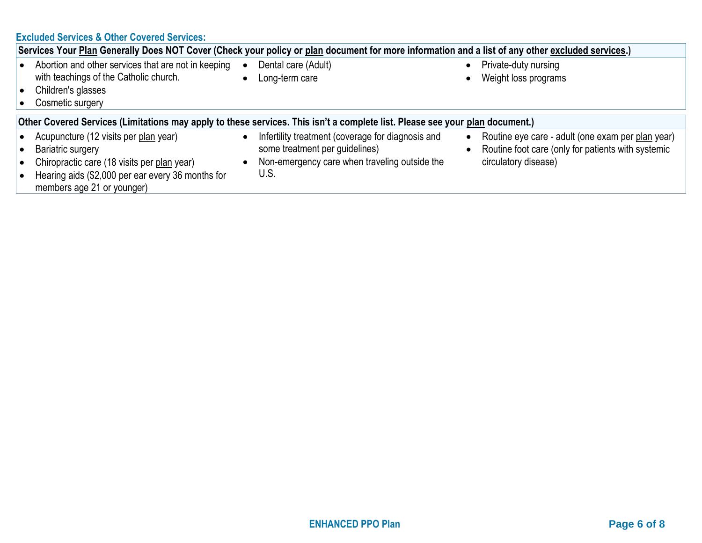|  |  |  | <b>Excluded Services &amp; Other Covered Services:</b> |
|--|--|--|--------------------------------------------------------|
|--|--|--|--------------------------------------------------------|

| Services Your Plan Generally Does NOT Cover (Check your policy or plan document for more information and a list of any other excluded services.)                                             |  |                                                                                                                                              |           |                                                                                                                                 |  |  |  |  |
|----------------------------------------------------------------------------------------------------------------------------------------------------------------------------------------------|--|----------------------------------------------------------------------------------------------------------------------------------------------|-----------|---------------------------------------------------------------------------------------------------------------------------------|--|--|--|--|
| Abortion and other services that are not in keeping<br>with teachings of the Catholic church.<br>Children's glasses<br>Cosmetic surgery                                                      |  | Dental care (Adult)<br>Long-term care                                                                                                        | $\bullet$ | Private-duty nursing<br>Weight loss programs                                                                                    |  |  |  |  |
| Other Covered Services (Limitations may apply to these services. This isn't a complete list. Please see your plan document.)                                                                 |  |                                                                                                                                              |           |                                                                                                                                 |  |  |  |  |
| Acupuncture (12 visits per plan year)<br>Bariatric surgery<br>Chiropractic care (18 visits per plan year)<br>Hearing aids (\$2,000 per ear every 36 months for<br>members age 21 or younger) |  | Infertility treatment (coverage for diagnosis and<br>some treatment per guidelines)<br>Non-emergency care when traveling outside the<br>U.S. | $\bullet$ | Routine eye care - adult (one exam per plan year)<br>Routine foot care (only for patients with systemic<br>circulatory disease) |  |  |  |  |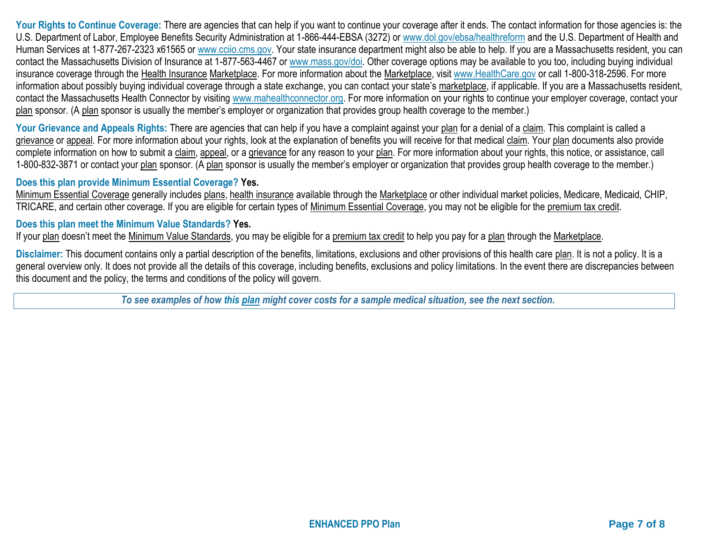Your Rights to Continue Coverage: There are agencies that can help if you want to continue your coverage after it ends. The contact information for those agencies is: the U.S. Department of Labor, Employee Benefits Security Administration at 1-866-444-EBSA (3272) or [www.dol.gov/ebsa/healthreform](http://www.dol.gov/ebsa/healthreform) and the U.S. Department of Health and Human Services at 1-877-267-2323 x61565 or [www.cciio.cms.gov.](http://www.cciio.cms.gov/) Your state insurance department might also be able to help. If you are a Massachusetts resident, you can contact the Massachusetts Division of Insurance at 1-877-563-4467 or [www.mass.gov/doi.](http://www.mass.gov/doi) Other coverage options may be available to you too, including buying individual insurance coverage through the Health Insurance Marketplace. For more information about the Marketplace, visit [www.HealthCare.gov](http://www.healthcare.gov/) or call 1-800-318-2596. For more information about possibly buying individual coverage through a state exchange, you can contact your state's marketplace, if applicable. If you are a Massachusetts resident, contact the Massachusetts Health Connector by visiting [www.mahealthconnector.org.](http://www.mahealthconnector.org/) For more information on your rights to continue your employer coverage, contact your plan sponsor. (A plan sponsor is usually the member's employer or organization that provides group health coverage to the member.)

Your Grievance and Appeals Rights: There are agencies that can help if you have a complaint against your plan for a denial of a claim. This complaint is called a grievance or appeal. For more information about your rights, look at the explanation of benefits you will receive for that medical claim. Your plan documents also provide complete information on how to submit a claim, appeal, or a grievance for any reason to your plan. For more information about your rights, this notice, or assistance, call 1-800-832-3871 or contact your plan sponsor. (A plan sponsor is usually the member's employer or organization that provides group health coverage to the member.)

## **Does this plan provide Minimum Essential Coverage? Yes.**

Minimum Essential Coverage generally includes plans, health insurance available through the Marketplace or other individual market policies, Medicare, Medicaid, CHIP, TRICARE, and certain other coverage. If you are eligible for certain types of Minimum Essential Coverage, you may not be eligible for the premium tax credit.

## **Does this plan meet the Minimum Value Standards? Yes.**

If your plan doesn't meet the Minimum Value Standards, you may be eligible for a premium tax credit to help you pay for a plan through the Marketplace.

**Disclaimer:** This document contains only a partial description of the benefits, limitations, exclusions and other provisions of this health care plan. It is not a policy. It is a general overview only. It does not provide all the details of this coverage, including benefits, exclusions and policy limitations. In the event there are discrepancies between this document and the policy, the terms and conditions of the policy will govern.

*To see examples of how this plan might cover costs for a sample medical situation, see the next section.*